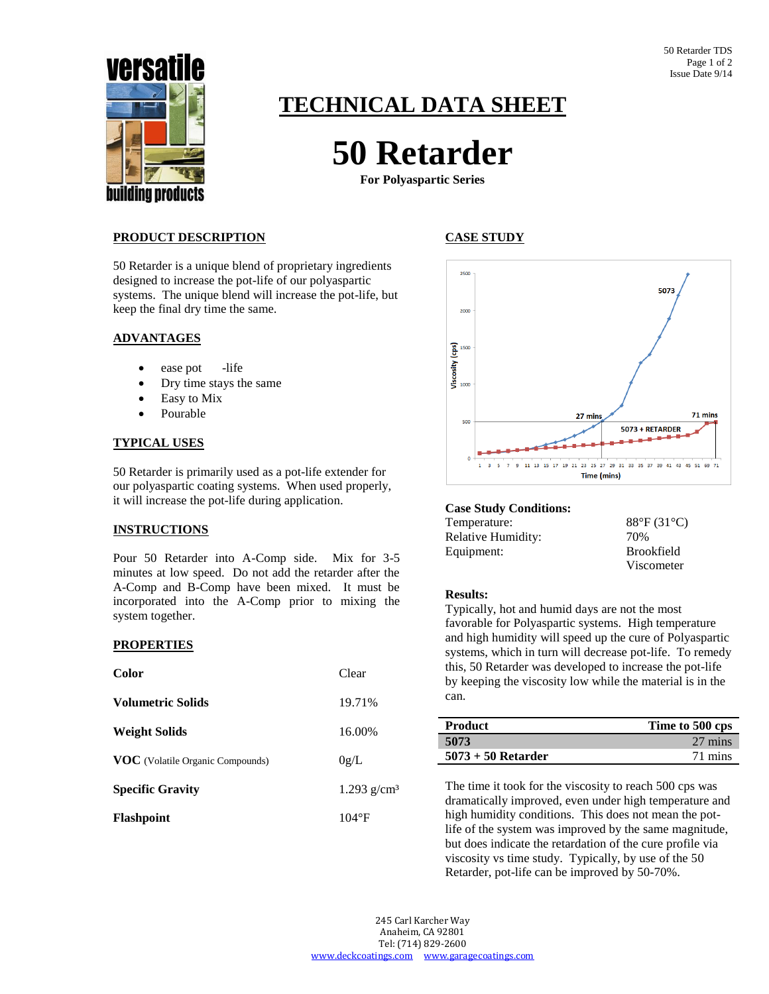

# **TECHNICAL DATA SHEET**

# **50 Retarder**

**For Polyaspartic Series**

### **PRODUCT DESCRIPTION**

50 Retarder is a unique blend of proprietary ingredients designed to increase the pot-life of our polyaspartic systems. The unique blend will increase the pot-life, but keep the final dry time the same.

#### **ADVANTAGES**

- ease pot -life
- Dry time stays the same
- Easy to Mix
- Pourable

#### **TYPICAL USES**

50 Retarder is primarily used as a pot-life extender for our polyaspartic coating systems. When used properly, it will increase the pot-life during application.

#### **INSTRUCTIONS**

Pour 50 Retarder into A-Comp side. Mix for 3-5 minutes at low speed. Do not add the retarder after the A-Comp and B-Comp have been mixed. It must be incorporated into the A-Comp prior to mixing the system together.

#### **PROPERTIES**

| <b>Color</b>                            | Clear                     |
|-----------------------------------------|---------------------------|
| <b>Volumetric Solids</b>                | 19.71%                    |
| <b>Weight Solids</b>                    | 16.00%                    |
| <b>VOC</b> (Volatile Organic Compounds) | 0g/L                      |
| <b>Specific Gravity</b>                 | $1.293$ g/cm <sup>3</sup> |
| <b>Flashpoint</b>                       | $104^{\circ}F$            |

## **CASE STUDY**



#### **Case Study Conditions:**

| Temperature:       | $88^{\circ}F(31^{\circ}C)$ |
|--------------------|----------------------------|
| Relative Humidity: | 70%                        |
| Equipment:         | <b>Brookfield</b>          |
|                    | Viscometer                 |

#### **Results:**

Typically, hot and humid days are not the most favorable for Polyaspartic systems. High temperature and high humidity will speed up the cure of Polyaspartic systems, which in turn will decrease pot-life. To remedy this, 50 Retarder was developed to increase the pot-life by keeping the viscosity low while the material is in the can.

| <b>Product</b>       | Time to 500 cps |
|----------------------|-----------------|
| 5073                 | 27 mins         |
| $5073 + 50$ Retarder | 71 mins         |

The time it took for the viscosity to reach 500 cps was dramatically improved, even under high temperature and high humidity conditions. This does not mean the potlife of the system was improved by the same magnitude, but does indicate the retardation of the cure profile via viscosity vs time study. Typically, by use of the 50 Retarder, pot-life can be improved by 50-70%.